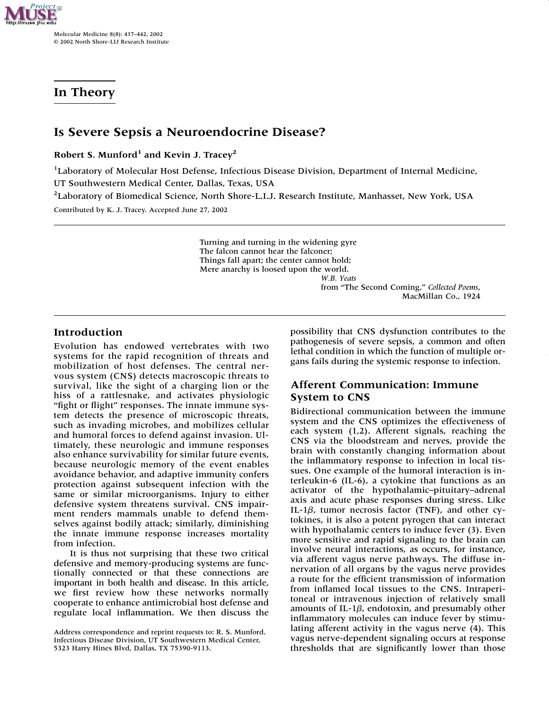

Molecular Medicine 8(8): 437–442, 2002 © 2002 North Shore-LIJ Research Institute

# **In Theory**

# **Is Severe Sepsis a Neuroendocrine Disease?**

Robert S. Munford<sup>1</sup> and Kevin J. Tracey<sup>2</sup>

<sup>1</sup>Laboratory of Molecular Host Defense, Infectious Disease Division, Department of Internal Medicine, UT Southwestern Medical Center, Dallas, Texas, USA

<sup>2</sup>Laboratory of Biomedical Science, North Shore-L.I.J. Research Institute, Manhasset, New York, USA

Contributed by K. J. Tracey. Accepted June 27, 2002

Turning and turning in the widening gyre The falcon cannot hear the falconer; Things fall apart; the center cannot hold; Mere anarchy is loosed upon the world.

*W.B. Yeats* from "The Second Coming," *Collected Poems*, MacMillan Co., 1924

### **Introduction**

Evolution has endowed vertebrates with two systems for the rapid recognition of threats and mobilization of host defenses. The central nervous system (CNS) detects macroscopic threats to survival, like the sight of a charging lion or the hiss of a rattlesnake, and activates physiologic "fight or flight" responses. The innate immune system detects the presence of microscopic threats, such as invading microbes, and mobilizes cellular and humoral forces to defend against invasion. Ultimately, these neurologic and immune responses also enhance survivability for similar future events, because neurologic memory of the event enables avoidance behavior, and adaptive immunity confers protection against subsequent infection with the same or similar microorganisms. Injury to either defensive system threatens survival. CNS impairment renders mammals unable to defend themselves against bodily attack; similarly, diminishing the innate immune response increases mortality from infection.

It is thus not surprising that these two critical defensive and memory-producing systems are functionally connected or that these connections are important in both health and disease. In this article, we first review how these networks normally cooperate to enhance antimicrobial host defense and regulate local inflammation. We then discuss the possibility that CNS dysfunction contributes to the pathogenesis of severe sepsis, a common and often lethal condition in which the function of multiple organs fails during the systemic response to infection.

## **Afferent Communication: Immune System to CNS**

Bidirectional communication between the immune system and the CNS optimizes the effectiveness of each system (1,2). Afferent signals, reaching the CNS via the bloodstream and nerves, provide the brain with constantly changing information about the inflammatory response to infection in local tissues. One example of the humoral interaction is interleukin-6 (IL-6), a cytokine that functions as an activator of the hypothalamic–pituitary–adrenal axis and acute phase responses during stress. Like IL- $1\beta$ , tumor necrosis factor (TNF), and other cytokines, it is also a potent pyrogen that can interact with hypothalamic centers to induce fever (3). Even more sensitive and rapid signaling to the brain can involve neural interactions, as occurs, for instance, via afferent vagus nerve pathways. The diffuse innervation of all organs by the vagus nerve provides a route for the efficient transmission of information from inflamed local tissues to the CNS. Intraperitoneal or intravenous injection of relatively small amounts of IL-1 $\beta$ , endotoxin, and presumably other inflammatory molecules can induce fever by stimulating afferent activity in the vagus nerve (4). This vagus nerve-dependent signaling occurs at response thresholds that are significantly lower than those

Address correspondence and reprint requests to: R. S. Munford. Infectious Disease Division, UT Southwestern Medical Center, 5323 Harry Hines Blvd, Dallas, TX 75390-9113.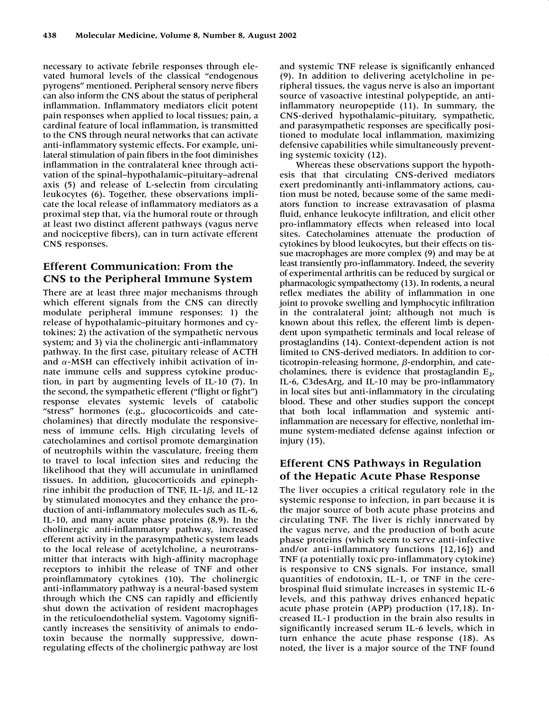necessary to activate febrile responses through elevated humoral levels of the classical "endogenous pyrogens" mentioned. Peripheral sensory nerve fibers can also inform the CNS about the status of peripheral inflammation. Inflammatory mediators elicit potent pain responses when applied to local tissues; pain, a cardinal feature of local inflammation, is transmitted to the CNS through neural networks that can activate anti-inflammatory systemic effects. For example, unilateral stimulation of pain fibers in the foot diminishes inflammation in the contralateral knee through activation of the spinal–hypothalamic–pituitary–adrenal axis (5) and release of L-selectin from circulating leukocytes (6). Together, these observations implicate the local release of inflammatory mediators as a proximal step that, via the humoral route or through at least two distinct afferent pathways (vagus nerve and nociceptive fibers), can in turn activate efferent CNS responses.

# **Efferent Communication: From the CNS to the Peripheral Immune System**

There are at least three major mechanisms through which efferent signals from the CNS can directly modulate peripheral immune responses: 1) the release of hypothalamic–pituitary hormones and cytokines; 2) the activation of the sympathetic nervous system; and 3) via the cholinergic anti-inflammatory pathway. In the first case, pituitary release of ACTH and  $\alpha$ -MSH can effectively inhibit activation of innate immune cells and suppress cytokine production, in part by augmenting levels of IL-10 (7). In the second, the sympathetic efferent ("flight or fight") response elevates systemic levels of catabolic "stress" hormones (e.g., glucocorticoids and catecholamines) that directly modulate the responsiveness of immune cells. High circulating levels of catecholamines and cortisol promote demargination of neutrophils within the vasculature, freeing them to travel to local infection sites and reducing the likelihood that they will accumulate in uninflamed tissues. In addition, glucocorticoids and epinephrine inhibit the production of TNF, IL-1 $\beta$ , and IL-12 by stimulated monocytes and they enhance the production of anti-inflammatory molecules such as IL-6, IL-10, and many acute phase proteins (8,9). In the cholinergic anti-inflammatory pathway, increased efferent activity in the parasympathetic system leads to the local release of acetylcholine, a neurotransmitter that interacts with high-affinity macrophage receptors to inhibit the release of TNF and other proinflammatory cytokines (10). The cholinergic anti-inflammatory pathway is a neural-based system through which the CNS can rapidly and efficiently shut down the activation of resident macrophages in the reticuloendothelial system. Vagotomy significantly increases the sensitivity of animals to endotoxin because the normally suppressive, downregulating effects of the cholinergic pathway are lost

and systemic TNF release is significantly enhanced (9). In addition to delivering acetylcholine in peripheral tissues, the vagus nerve is also an important source of vasoactive intestinal polypeptide, an antiinflammatory neuropeptide (11). In summary, the CNS-derived hypothalamic–pituitary, sympathetic, and parasympathetic responses are specifically positioned to modulate local inflammation, maximizing defensive capabilities while simultaneously preventing systemic toxicity (12).

Whereas these observations support the hypothesis that that circulating CNS-derived mediators exert predominantly anti-inflammatory actions, caution must be noted, because some of the same mediators function to increase extravasation of plasma fluid, enhance leukocyte infiltration, and elicit other pro-inflammatory effects when released into local sites. Catecholamines attenuate the production of cytokines by blood leukocytes, but their effects on tissue macrophages are more complex (9) and may be at least transiently pro-inflammatory. Indeed, the severity of experimental arthritis can be reduced by surgical or pharmacologic sympathectomy (13). In rodents, a neural reflex mediates the ability of inflammation in one joint to provoke swelling and lymphocytic infiltration in the contralateral joint; although not much is known about this reflex, the efferent limb is dependent upon sympathetic terminals and local release of prostaglandins (14). Context-dependent action is not limited to CNS-derived mediators. In addition to corticotropin-releasing hormone, *β*-endorphin, and catecholamines, there is evidence that prostaglandin  $E_2$ , IL-6, C3desArg, and IL-10 may be pro-inflammatory in local sites but anti-inflammatory in the circulating blood. These and other studies support the concept that both local inflammation and systemic antiinflammation are necessary for effective, nonlethal immune system-mediated defense against infection or injury (15).

### **Efferent CNS Pathways in Regulation of the Hepatic Acute Phase Response**

The liver occupies a critical regulatory role in the systemic response to infection, in part because it is the major source of both acute phase proteins and circulating TNF. The liver is richly innervated by the vagus nerve, and the production of both acute phase proteins (which seem to serve anti-infective and/or anti-inflammatory functions [12,16]) and TNF (a potentially toxic pro-inflammatory cytokine) is responsive to CNS signals. For instance, small quantities of endotoxin, IL-1, or TNF in the cerebrospinal fluid stimulate increases in systemic IL-6 levels, and this pathway drives enhanced hepatic acute phase protein (APP) production (17,18). Increased IL-1 production in the brain also results in significantly increased serum IL-6 levels, which in turn enhance the acute phase response (18). As noted, the liver is a major source of the TNF found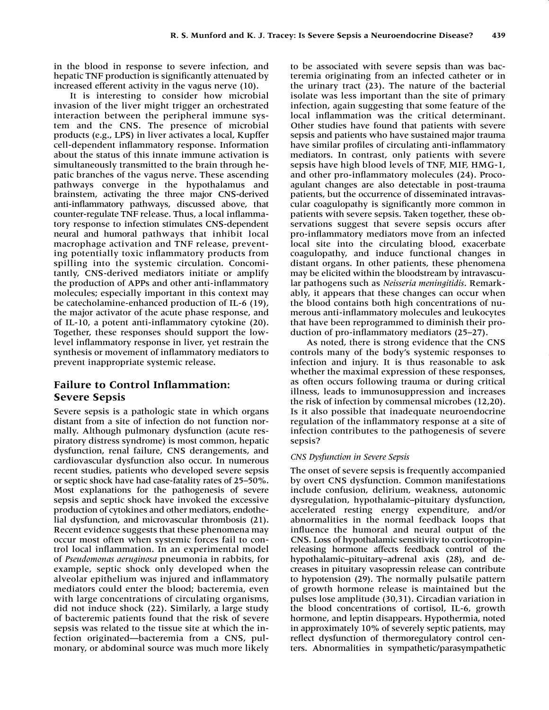in the blood in response to severe infection, and hepatic TNF production is significantly attenuated by increased efferent activity in the vagus nerve (10).

It is interesting to consider how microbial invasion of the liver might trigger an orchestrated interaction between the peripheral immune system and the CNS. The presence of microbial products (e.g., LPS) in liver activates a local, Kupffer cell-dependent inflammatory response. Information about the status of this innate immune activation is simultaneously transmitted to the brain through hepatic branches of the vagus nerve. These ascending pathways converge in the hypothalamus and brainstem, activating the three major CNS-derived anti-inflammatory pathways, discussed above, that counter-regulate TNF release. Thus, a local inflammatory response to infection stimulates CNS-dependent neural and humoral pathways that inhibit local macrophage activation and TNF release, preventing potentially toxic inflammatory products from spilling into the systemic circulation. Concomitantly, CNS-derived mediators initiate or amplify the production of APPs and other anti-inflammatory molecules; especially important in this context may be catecholamine-enhanced production of IL-6 (19), the major activator of the acute phase response, and of IL-10, a potent anti-inflammatory cytokine (20). Together, these responses should support the lowlevel inflammatory response in liver, yet restrain the synthesis or movement of inflammatory mediators to prevent inappropriate systemic release.

# **Failure to Control Inflammation: Severe Sepsis**

Severe sepsis is a pathologic state in which organs distant from a site of infection do not function normally. Although pulmonary dysfunction (acute respiratory distress syndrome) is most common, hepatic dysfunction, renal failure, CNS derangements, and cardiovascular dysfunction also occur. In numerous recent studies, patients who developed severe sepsis or septic shock have had case-fatality rates of 25–50%. Most explanations for the pathogenesis of severe sepsis and septic shock have invoked the excessive production of cytokines and other mediators, endothelial dysfunction, and microvascular thrombosis (21). Recent evidence suggests that these phenomena may occur most often when systemic forces fail to control local inflammation. In an experimental model of *Pseudomonas aeruginosa* pneumonia in rabbits, for example, septic shock only developed when the alveolar epithelium was injured and inflammatory mediators could enter the blood; bacteremia, even with large concentrations of circulating organisms. did not induce shock (22). Similarly, a large study of bacteremic patients found that the risk of severe sepsis was related to the tissue site at which the infection originated—bacteremia from a CNS, pulmonary, or abdominal source was much more likely

to be associated with severe sepsis than was bacteremia originating from an infected catheter or in the urinary tract (23). The nature of the bacterial isolate was less important than the site of primary infection, again suggesting that some feature of the local inflammation was the critical determinant. Other studies have found that patients with severe sepsis and patients who have sustained major trauma have similar profiles of circulating anti-inflammatory mediators. In contrast, only patients with severe sepsis have high blood levels of TNF, MIF, HMG-1, and other pro-inflammatory molecules (24). Procoagulant changes are also detectable in post-trauma patients, but the occurrence of disseminated intravascular coagulopathy is significantly more common in patients with severe sepsis. Taken together, these observations suggest that severe sepsis occurs after pro-inflammatory mediators move from an infected local site into the circulating blood, exacerbate coagulopathy, and induce functional changes in distant organs. In other patients, these phenomena may be elicited within the bloodstream by intravascular pathogens such as *Neisseria meningitidis*. Remarkably, it appears that these changes can occur when the blood contains both high concentrations of numerous anti-inflammatory molecules and leukocytes that have been reprogrammed to diminish their production of pro-inflammatory mediators (25–27).

As noted, there is strong evidence that the CNS controls many of the body's systemic responses to infection and injury. It is thus reasonable to ask whether the maximal expression of these responses, as often occurs following trauma or during critical illness, leads to immunosuppression and increases the risk of infection by commensal microbes (12,20). Is it also possible that inadequate neuroendocrine regulation of the inflammatory response at a site of infection contributes to the pathogenesis of severe sepsis?

#### *CNS Dysfunction in Severe Sepsis*

The onset of severe sepsis is frequently accompanied by overt CNS dysfunction. Common manifestations include confusion, delirium, weakness, autonomic dysregulation, hypothalamic–pituitary dysfunction, accelerated resting energy expenditure, and/or abnormalities in the normal feedback loops that influence the humoral and neural output of the CNS. Loss of hypothalamic sensitivity to corticotropinreleasing hormone affects feedback control of the hypothalamic–pituitary–adrenal axis (28), and decreases in pituitary vasopressin release can contribute to hypotension (29). The normally pulsatile pattern of growth hormone release is maintained but the pulses lose amplitude (30,31). Circadian variation in the blood concentrations of cortisol, IL-6, growth hormone, and leptin disappears. Hypothermia, noted in approximately 10% of severely septic patients, may reflect dysfunction of thermoregulatory control centers. Abnormalities in sympathetic/parasympathetic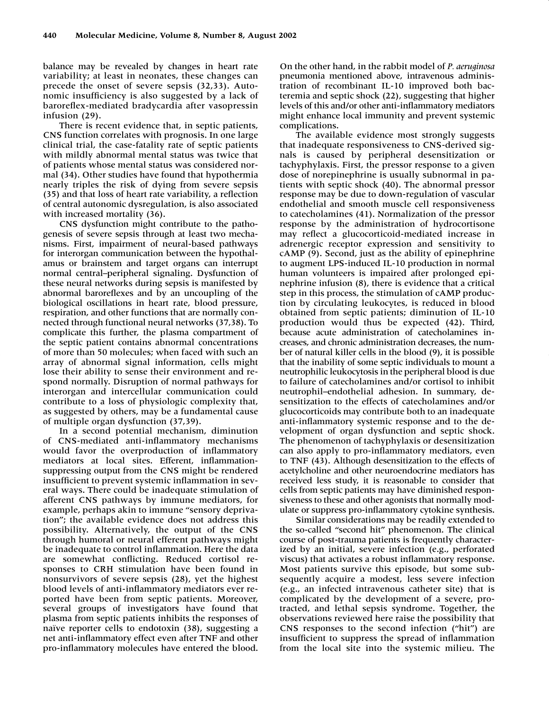balance may be revealed by changes in heart rate variability; at least in neonates, these changes can precede the onset of severe sepsis (32,33). Autonomic insufficiency is also suggested by a lack of baroreflex-mediated bradycardia after vasopressin infusion (29).

There is recent evidence that, in septic patients, CNS function correlates with prognosis. In one large clinical trial, the case-fatality rate of septic patients with mildly abnormal mental status was twice that of patients whose mental status was considered normal (34). Other studies have found that hypothermia nearly triples the risk of dying from severe sepsis (35) and that loss of heart rate variability, a reflection of central autonomic dysregulation, is also associated with increased mortality (36).

CNS dysfunction might contribute to the pathogenesis of severe sepsis through at least two mechanisms. First, impairment of neural-based pathways for interorgan communication between the hypothalamus or brainstem and target organs can interrupt normal central–peripheral signaling. Dysfunction of these neural networks during sepsis is manifested by abnormal baroreflexes and by an uncoupling of the biological oscillations in heart rate, blood pressure, respiration, and other functions that are normally connected through functional neural networks (37,38). To complicate this further, the plasma compartment of the septic patient contains abnormal concentrations of more than 50 molecules; when faced with such an array of abnormal signal information, cells might lose their ability to sense their environment and respond normally. Disruption of normal pathways for interorgan and intercellular communication could contribute to a loss of physiologic complexity that, as suggested by others, may be a fundamental cause of multiple organ dysfunction (37,39).

In a second potential mechanism, diminution of CNS-mediated anti-inflammatory mechanisms would favor the overproduction of inflammatory mediators at local sites. Efferent, inflammationsuppressing output from the CNS might be rendered insufficient to prevent systemic inflammation in several ways. There could be inadequate stimulation of afferent CNS pathways by immune mediators, for example, perhaps akin to immune "sensory deprivation"; the available evidence does not address this possibility. Alternatively, the output of the CNS through humoral or neural efferent pathways might be inadequate to control inflammation. Here the data are somewhat conflicting. Reduced cortisol responses to CRH stimulation have been found in nonsurvivors of severe sepsis (28), yet the highest blood levels of anti-inflammatory mediators ever reported have been from septic patients. Moreover, several groups of investigators have found that plasma from septic patients inhibits the responses of naïve reporter cells to endotoxin (38), suggesting a net anti-inflammatory effect even after TNF and other pro-inflammatory molecules have entered the blood. On the other hand, in the rabbit model of *P. aeruginosa* pneumonia mentioned above, intravenous administration of recombinant IL-10 improved both bacteremia and septic shock (22), suggesting that higher levels of this and/or other anti-inflammatory mediators might enhance local immunity and prevent systemic complications.

The available evidence most strongly suggests that inadequate responsiveness to CNS-derived signals is caused by peripheral desensitization or tachyphylaxis. First, the pressor response to a given dose of norepinephrine is usually subnormal in patients with septic shock (40). The abnormal pressor response may be due to down-regulation of vascular endothelial and smooth muscle cell responsiveness to catecholamines (41). Normalization of the pressor response by the administration of hydrocortisone may reflect a glucocorticoid-mediated increase in adrenergic receptor expression and sensitivity to cAMP (9). Second, just as the ability of epinephrine to augment LPS-induced IL-10 production in normal human volunteers is impaired after prolonged epinephrine infusion (8), there is evidence that a critical step in this process, the stimulation of cAMP production by circulating leukocytes, is reduced in blood obtained from septic patients; diminution of IL-10 production would thus be expected (42). Third, because acute administration of catecholamines increases, and chronic administration decreases, the number of natural killer cells in the blood (9), it is possible that the inability of some septic individuals to mount a neutrophilic leukocytosis in the peripheral blood is due to failure of catecholamines and/or cortisol to inhibit neutrophil–endothelial adhesion. In summary, desensitization to the effects of catecholamines and/or glucocorticoids may contribute both to an inadequate anti-inflammatory systemic response and to the development of organ dysfunction and septic shock. The phenomenon of tachyphylaxis or desensitization can also apply to pro-inflammatory mediators, even to TNF (43). Although desensitization to the effects of acetylcholine and other neuroendocrine mediators has received less study, it is reasonable to consider that cells from septic patients may have diminished responsiveness to these and other agonists that normally modulate or suppress pro-inflammatory cytokine synthesis.

Similar considerations may be readily extended to the so-called "second hit" phenomenon. The clinical course of post-trauma patients is frequently characterized by an initial, severe infection (e.g., perforated viscus) that activates a robust inflammatory response. Most patients survive this episode, but some subsequently acquire a modest, less severe infection (e.g., an infected intravenous catheter site) that is complicated by the development of a severe, protracted, and lethal sepsis syndrome. Together, the observations reviewed here raise the possibility that CNS responses to the second infection ("hit") are insufficient to suppress the spread of inflammation from the local site into the systemic milieu. The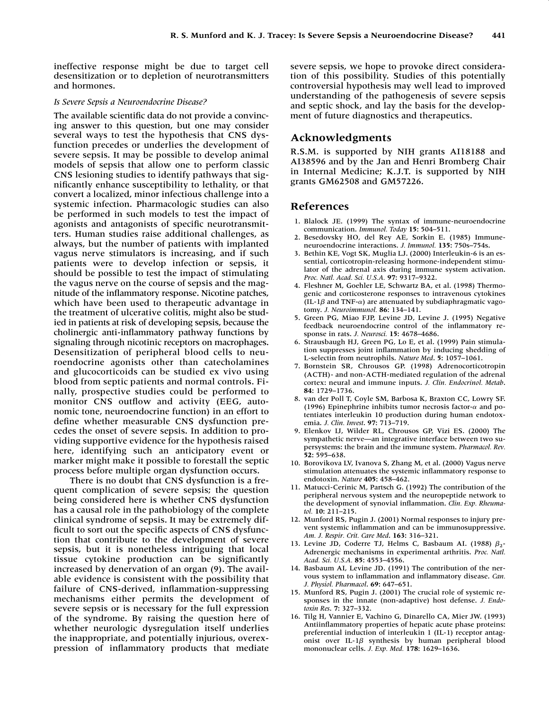ineffective response might be due to target cell desensitization or to depletion of neurotransmitters and hormones.

#### *Is Severe Sepsis a Neuroendocrine Disease?*

The available scientific data do not provide a convincing answer to this question, but one may consider several ways to test the hypothesis that CNS dysfunction precedes or underlies the development of severe sepsis. It may be possible to develop animal models of sepsis that allow one to perform classic CNS lesioning studies to identify pathways that significantly enhance susceptibility to lethality, or that convert a localized, minor infectious challenge into a systemic infection. Pharmacologic studies can also be performed in such models to test the impact of agonists and antagonists of specific neurotransmitters. Human studies raise additional challenges, as always, but the number of patients with implanted vagus nerve stimulators is increasing, and if such patients were to develop infection or sepsis, it should be possible to test the impact of stimulating the vagus nerve on the course of sepsis and the magnitude of the inflammatory response. Nicotine patches, which have been used to therapeutic advantage in the treatment of ulcerative colitis, might also be studied in patients at risk of developing sepsis, because the cholinergic anti-inflammatory pathway functions by signaling through nicotinic receptors on macrophages. Desensitization of peripheral blood cells to neuroendocrine agonists other than catecholamines and glucocorticoids can be studied ex vivo using blood from septic patients and normal controls. Finally, prospective studies could be performed to monitor CNS outflow and activity (EEG, autonomic tone, neuroendocrine function) in an effort to define whether measurable CNS dysfunction precedes the onset of severe sepsis. In addition to providing supportive evidence for the hypothesis raised here, identifying such an anticipatory event or marker might make it possible to forestall the septic process before multiple organ dysfunction occurs.

There is no doubt that CNS dysfunction is a frequent complication of severe sepsis; the question being considered here is whether CNS dysfunction has a causal role in the pathobiology of the complete clinical syndrome of sepsis. It may be extremely difficult to sort out the specific aspects of CNS dysfunction that contribute to the development of severe sepsis, but it is nonetheless intriguing that local tissue cytokine production can be significantly increased by denervation of an organ (9). The available evidence is consistent with the possibility that failure of CNS-derived, inflammation-suppressing mechanisms either permits the development of severe sepsis or is necessary for the full expression of the syndrome. By raising the question here of whether neurologic dysregulation itself underlies the inappropriate, and potentially injurious, overexpression of inflammatory products that mediate

severe sepsis, we hope to provoke direct consideration of this possibility. Studies of this potentially controversial hypothesis may well lead to improved understanding of the pathogenesis of severe sepsis and septic shock, and lay the basis for the development of future diagnostics and therapeutics.

#### **Acknowledgments**

R.S.M. is supported by NIH grants AI18188 and AI38596 and by the Jan and Henri Bromberg Chair in Internal Medicine; K.J.T. is supported by NIH grants GM62508 and GM57226.

#### **References**

- 1. Blalock JE. (1999) The syntax of immune-neuroendocrine communication. *Immunol. Today* **15:** 504–511.
- 2. Besedovsky HO, del Rey AE, Sorkin E. (1985) Immuneneuroendocrine interactions. *J. Immunol.* **135:** 750s–754s.
- 3. Bethin KE, Vogt SK, Muglia LJ. (2000) Interleukin-6 is an essential, corticotropin-releasing hormone-independent stimulator of the adrenal axis during immune system activation. *Proc. Natl. Acad. Sci. U.S.A.* **97:** 9317–9322.
- 4. Fleshner M, Goehler LE, Schwartz BA, et al. (1998) Thermogenic and corticosterone responses to intravenous cytokines  $(IL-I\beta$  and TNF- $\alpha$ ) are attenuated by subdiaphragmatic vagotomy. *J. Neuroimmunol.* **86:** 134–141.
- 5. Green PG, Miao FJP, Levine JD, Levine J. (1995) Negative feedback neuroendocrine control of the inflammatory response in rats. *J. Neurosci.* **15:** 4678–4686.
- 6. Strausbaugh HJ, Green PG, Lo E, et al. (1999) Pain stimulation suppresses joint inflammation by inducing shedding of L-selectin from neutrophils. *Nature Med*. **5:** 1057–1061.
- 7. Bornstein SR, Chrousos GP. (1998) Adrenocorticotropin (ACTH)- and non-ACTH-mediated regulation of the adrenal cortex: neural and immune inputs. *J. Clin. Endocrinol. Metab*. **84:** 1729–1736.
- 8. van der Poll T, Coyle SM, Barbosa K, Braxton CC, Lowry SF. (1996) Epinephrine inhibits tumor necrosis factor- $\alpha$  and potentiates interleukin 10 production during human endotoxemia. *J. Clin. Invest*. **97:** 713–719.
- 9. Elenkov IJ, Wilder RL, Chrousos GP, Vizi ES. (2000) The sympathetic nerve—an integrative interface between two supersystems: the brain and the immune system. *Pharmacol. Rev.* **52:** 595–638.
- 10. Borovikova LV, Ivanova S, Zhang M, et al. (2000) Vagus nerve stimulation attenuates the systemic inflammatory response to endotoxin. *Nature* **405:** 458–462.
- 11. Matucci-Cerinic M, Partsch G. (1992) The contribution of the peripheral nervous system and the neuropeptide network to the development of synovial inflammation. *Clin. Exp. Rheumatol.* **10:** 211–215.
- 12. Munford RS, Pugin J. (2001) Normal responses to injury prevent systemic inflammation and can be immunosuppressive. *Am. J. Respir. Crit. Care Med*. **163:** 316–321.
- 13. Levine JD, Coderre TJ, Helms C, Basbaum AI. (1988) β<sub>2</sub>-Adrenergic mechanisms in experimental arthritis. *Proc. Natl. Acad. Sci. U.S.A.* **85:** 4553–4556.
- 14. Basbaum AI, Levine JD. (1991) The contribution of the nervous system to inflammation and inflammatory disease. *Can. J. Physiol. Pharmacol*. **69:** 647–651.
- 15. Munford RS, Pugin J. (2001) The crucial role of systemic responses in the innate (non-adaptive) host defense. *J. Endotoxin Res*. **7:** 327–332.
- 16. Tilg H, Vannier E, Vachino G, Dinarello CA, Mier JW. (1993) Antiinflammatory properties of hepatic acute phase proteins: preferential induction of interleukin 1 (IL-1) receptor antagonist over IL- $1\beta$  synthesis by human peripheral blood mononuclear cells. *J. Exp. Med.* **178:** 1629–1636.